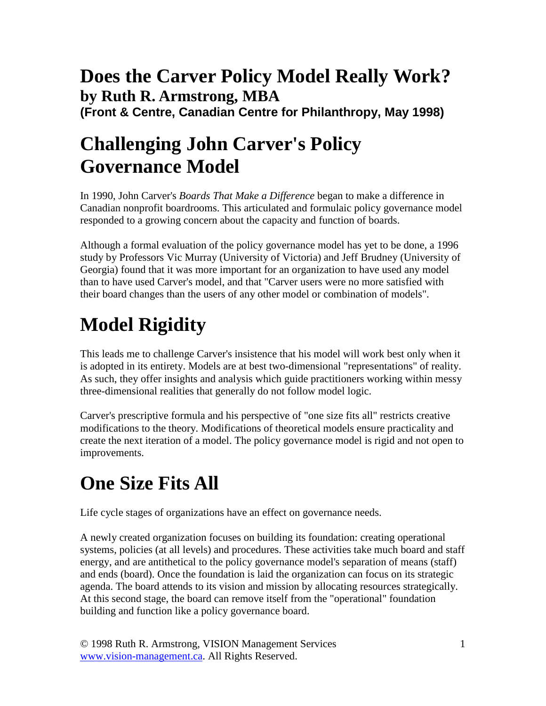#### **Does the Carver Policy Model Really Work? by Ruth R. Armstrong, MBA (Front & Centre, Canadian Centre for Philanthropy, May 1998)**

#### **Challenging John Carver's Policy Governance Model**

In 1990, John Carver's *Boards That Make a Difference* began to make a difference in Canadian nonprofit boardrooms. This articulated and formulaic policy governance model responded to a growing concern about the capacity and function of boards.

Although a formal evaluation of the policy governance model has yet to be done, a 1996 study by Professors Vic Murray (University of Victoria) and Jeff Brudney (University of Georgia) found that it was more important for an organization to have used any model than to have used Carver's model, and that "Carver users were no more satisfied with their board changes than the users of any other model or combination of models".

# **Model Rigidity**

This leads me to challenge Carver's insistence that his model will work best only when it is adopted in its entirety. Models are at best two-dimensional "representations" of reality. As such, they offer insights and analysis which guide practitioners working within messy three-dimensional realities that generally do not follow model logic.

Carver's prescriptive formula and his perspective of "one size fits all" restricts creative modifications to the theory. Modifications of theoretical models ensure practicality and create the next iteration of a model. The policy governance model is rigid and not open to improvements.

## **One Size Fits All**

Life cycle stages of organizations have an effect on governance needs.

A newly created organization focuses on building its foundation: creating operational systems, policies (at all levels) and procedures. These activities take much board and staff energy, and are antithetical to the policy governance model's separation of means (staff) and ends (board). Once the foundation is laid the organization can focus on its strategic agenda. The board attends to its vision and mission by allocating resources strategically. At this second stage, the board can remove itself from the "operational" foundation building and function like a policy governance board.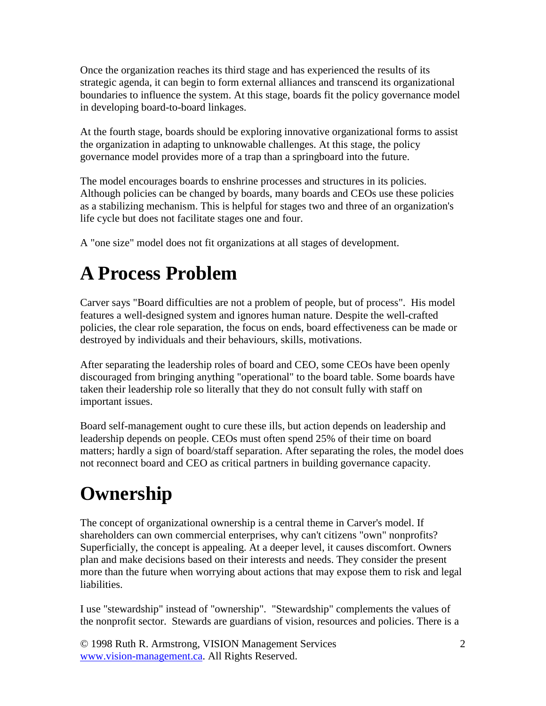Once the organization reaches its third stage and has experienced the results of its strategic agenda, it can begin to form external alliances and transcend its organizational boundaries to influence the system. At this stage, boards fit the policy governance model in developing board-to-board linkages.

At the fourth stage, boards should be exploring innovative organizational forms to assist the organization in adapting to unknowable challenges. At this stage, the policy governance model provides more of a trap than a springboard into the future.

The model encourages boards to enshrine processes and structures in its policies. Although policies can be changed by boards, many boards and CEOs use these policies as a stabilizing mechanism. This is helpful for stages two and three of an organization's life cycle but does not facilitate stages one and four.

A "one size" model does not fit organizations at all stages of development.

#### **A Process Problem**

Carver says "Board difficulties are not a problem of people, but of process". His model features a well-designed system and ignores human nature. Despite the well-crafted policies, the clear role separation, the focus on ends, board effectiveness can be made or destroyed by individuals and their behaviours, skills, motivations.

After separating the leadership roles of board and CEO, some CEOs have been openly discouraged from bringing anything "operational" to the board table. Some boards have taken their leadership role so literally that they do not consult fully with staff on important issues.

Board self-management ought to cure these ills, but action depends on leadership and leadership depends on people. CEOs must often spend 25% of their time on board matters; hardly a sign of board/staff separation. After separating the roles, the model does not reconnect board and CEO as critical partners in building governance capacity.

## **Ownership**

The concept of organizational ownership is a central theme in Carver's model. If shareholders can own commercial enterprises, why can't citizens "own" nonprofits? Superficially, the concept is appealing. At a deeper level, it causes discomfort. Owners plan and make decisions based on their interests and needs. They consider the present more than the future when worrying about actions that may expose them to risk and legal liabilities.

I use "stewardship" instead of "ownership". "Stewardship" complements the values of the nonprofit sector. Stewards are guardians of vision, resources and policies. There is a

© 1998 Ruth R. Armstrong, VISION Management Services www.vision-management.ca. All Rights Reserved.